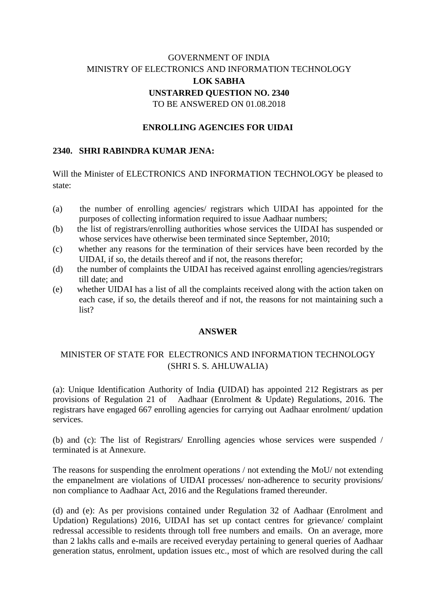# GOVERNMENT OF INDIA MINISTRY OF ELECTRONICS AND INFORMATION TECHNOLOGY **LOK SABHA UNSTARRED QUESTION NO. 2340** TO BE ANSWERED ON 01.08.2018

## **ENROLLING AGENCIES FOR UIDAI**

### **2340. SHRI RABINDRA KUMAR JENA:**

Will the Minister of ELECTRONICS AND INFORMATION TECHNOLOGY be pleased to state:

- (a) the number of enrolling agencies/ registrars which UIDAI has appointed for the purposes of collecting information required to issue Aadhaar numbers;
- (b) the list of registrars/enrolling authorities whose services the UIDAI has suspended or whose services have otherwise been terminated since September, 2010;
- (c) whether any reasons for the termination of their services have been recorded by the UIDAI, if so, the details thereof and if not, the reasons therefor;
- (d) the number of complaints the UIDAI has received against enrolling agencies/registrars till date; and
- (e) whether UIDAI has a list of all the complaints received along with the action taken on each case, if so, the details thereof and if not, the reasons for not maintaining such a list?

#### **ANSWER**

## MINISTER OF STATE FOR ELECTRONICS AND INFORMATION TECHNOLOGY (SHRI S. S. AHLUWALIA)

(a): Unique Identification Authority of India **(**UIDAI) has appointed 212 Registrars as per provisions of Regulation 21 of Aadhaar (Enrolment & Update) Regulations, 2016. The registrars have engaged 667 enrolling agencies for carrying out Aadhaar enrolment/ updation services.

(b) and (c): The list of Registrars/ Enrolling agencies whose services were suspended / terminated is at Annexure.

The reasons for suspending the enrolment operations / not extending the MoU/ not extending the empanelment are violations of UIDAI processes/ non-adherence to security provisions/ non compliance to Aadhaar Act, 2016 and the Regulations framed thereunder.

(d) and (e): As per provisions contained under Regulation 32 of Aadhaar (Enrolment and Updation) Regulations) 2016, UIDAI has set up contact centres for grievance/ complaint redressal accessible to residents through toll free numbers and emails. On an average, more than 2 lakhs calls and e-mails are received everyday pertaining to general queries of Aadhaar generation status, enrolment, updation issues etc., most of which are resolved during the call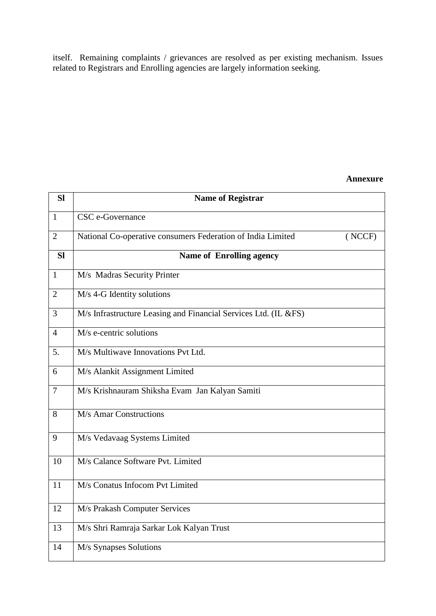itself. Remaining complaints / grievances are resolved as per existing mechanism. Issues related to Registrars and Enrolling agencies are largely information seeking.

### **Annexure**

| <b>Sl</b>      | <b>Name of Registrar</b>                                        |        |
|----------------|-----------------------------------------------------------------|--------|
| 1              | CSC e-Governance                                                |        |
| $\overline{2}$ | National Co-operative consumers Federation of India Limited     | (NCCF) |
| <b>Sl</b>      | <b>Name of Enrolling agency</b>                                 |        |
| $\mathbf{1}$   | M/s Madras Security Printer                                     |        |
| $\overline{2}$ | M/s 4-G Identity solutions                                      |        |
| 3              | M/s Infrastructure Leasing and Financial Services Ltd. (IL &FS) |        |
| 4              | M/s e-centric solutions                                         |        |
| 5.             | M/s Multiwave Innovations Pvt Ltd.                              |        |
| 6              | M/s Alankit Assignment Limited                                  |        |
| $\tau$         | M/s Krishnauram Shiksha Evam Jan Kalyan Samiti                  |        |
| 8              | M/s Amar Constructions                                          |        |
| 9              | M/s Vedavaag Systems Limited                                    |        |
| 10             | M/s Calance Software Pvt. Limited                               |        |
| 11             | M/s Conatus Infocom Pvt Limited                                 |        |
| 12             | M/s Prakash Computer Services                                   |        |
| 13             | M/s Shri Ramraja Sarkar Lok Kalyan Trust                        |        |
| 14             | M/s Synapses Solutions                                          |        |